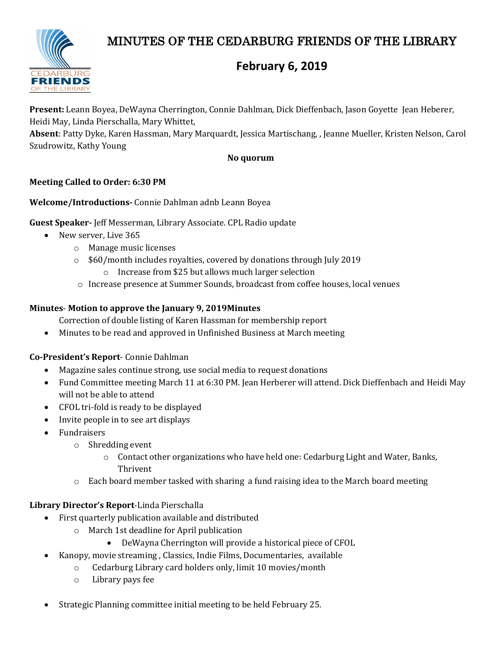# MINUTES OF THE CEDARBURG FRIENDS OF THE LIBRARY



## **February 6, 2019**

**Present:** Leann Boyea, DeWayna Cherrington, Connie Dahlman, Dick Dieffenbach, Jason Goyette Jean Heberer, Heidi May, Linda Pierschalla, Mary Whittet,

**Absent**: Patty Dyke, Karen Hassman, Mary Marquardt, Jessica Martischang, , Jeanne Mueller, Kristen Nelson, Carol Szudrowitz, Kathy Young

## **No quorum**

## **Meeting Called to Order: 6:30 PM**

## **Welcome/Introductions-** Connie Dahlman adnb Leann Boyea

**Guest Speaker-** Jeff Messerman, Library Associate. CPL Radio update

- New server, Live 365
	- o Manage music licenses
	- o \$60/month includes royalties, covered by donations through July 2019
		- o Increase from \$25 but allows much larger selection
	- o Increase presence at Summer Sounds, broadcast from coffee houses, local venues

## **Minutes**- **Motion to approve the January 9, 2019Minutes**

Correction of double listing of Karen Hassman for membership report

• Minutes to be read and approved in Unfinished Business at March meeting

### **Co-President's Report**- Connie Dahlman

- Magazine sales continue strong, use social media to request donations
- Fund Committee meeting March 11 at 6:30 PM. Jean Herberer will attend. Dick Dieffenbach and Heidi May will not be able to attend
- CFOL tri-fold is ready to be displayed
- Invite people in to see art displays
- Fundraisers
	- o Shredding event
		- $\circ$  Contact other organizations who have held one: Cedarburg Light and Water, Banks, Thrivent
	- $\circ$  Each board member tasked with sharing a fund raising idea to the March board meeting

### **Library Director's Report**-Linda Pierschalla

- First quarterly publication available and distributed
	- o March 1st deadline for April publication
		- DeWayna Cherrington will provide a historical piece of CFOL
- Kanopy, movie streaming , Classics, Indie Films, Documentaries, available
	- o Cedarburg Library card holders only, limit 10 movies/month
	- o Library pays fee
- Strategic Planning committee initial meeting to be held February 25.